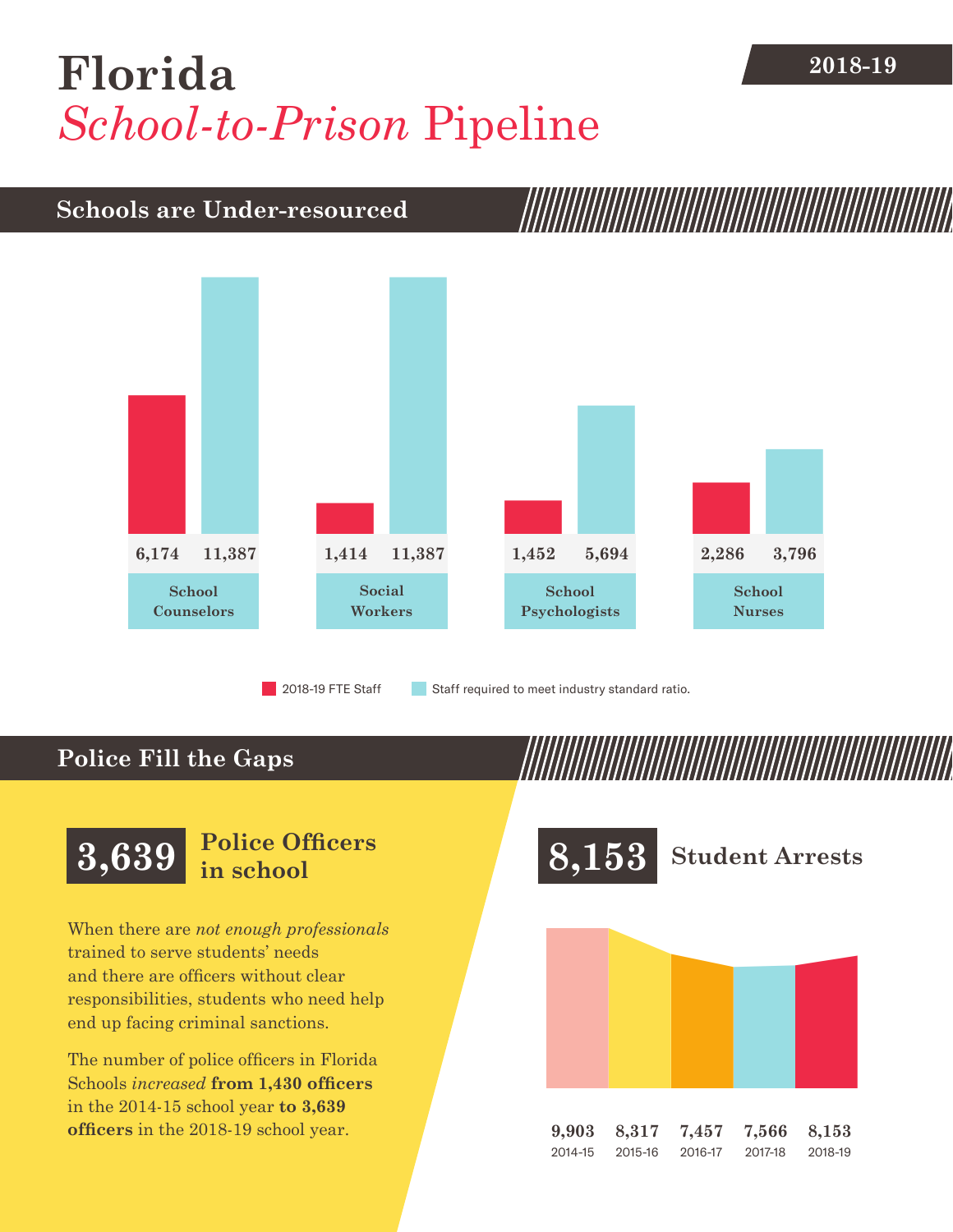## **2018-19 [Florida](DBF_County)** *School-to-Prison* Pipeline

## **Schools are Under-resourced**



2018-19 FTE Staff **Staff required to meet industry standard ratio.** 

#### **Police Fill the Gaps**



When there are *not enough professionals* trained to serve students' needs and there are officers without clear responsibilities, students who need help end up facing criminal sanctions.

The number of police officers in [Florida](DBF_County)  Schools *increased* **from [1,430](DBF_PO1415) officers** in the 2014-15 school year **to [3,639](DBF_PO) officers** in the 2018-19 school year.